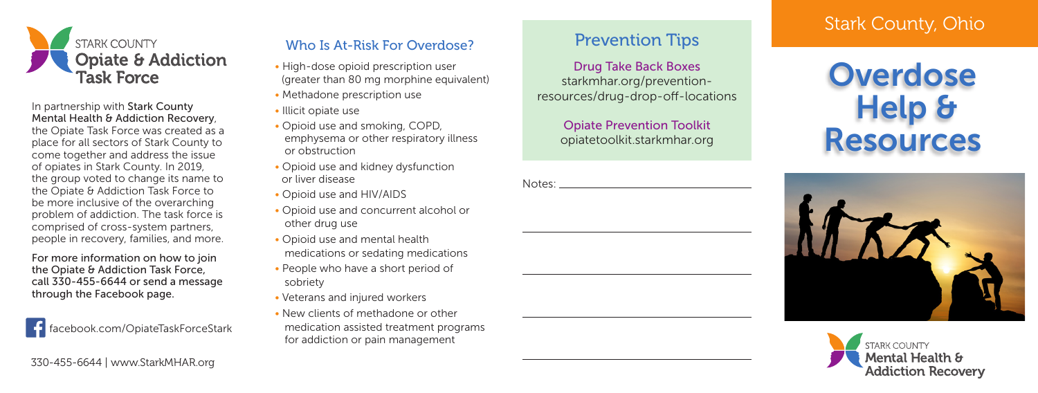

In partnership with Stark County Mental Health & Addiction Recovery, the Opiate Task Force was created as a place for all sectors of Stark County to come together and address the issue of opiates in Stark County. In 2019, the group voted to change its name to the Opiate & Addiction Task Force to be more inclusive of the overarching problem of addiction. The task force is comprised of cross-system partners, people in recovery, families, and more.

For more information on how to join the Opiate & Addiction Task Force. call 330-455-6644 or send a message through the Facebook page.

facebook.com/OpiateTaskForceStark

## Who Is At-Risk For Overdose?

- High-dose opioid prescription user (greater than 80 mg morphine equivalent)
- Methadone prescription use
- Illicit opiate use
- Opioid use and smoking, COPD, emphysema or other respiratory illness or obstruction
- Opioid use and kidney dysfunction or liver disease
- Opioid use and HIV/AIDS
- Opioid use and concurrent alcohol or other drug use
- Opioid use and mental health medications or sedating medications
- People who have a short period of sobriety
- Veterans and injured workers
- New clients of methadone or other
- medication assisted treatment programs for addiction or pain management

# Prevention Tips

Drug Take Back Boxes starkmhar.org/preventionresources/drug-drop-off-locations

> Opiate Prevention Toolkit opiatetoolkit.starkmhar.org

| Notes: |  |
|--------|--|
|        |  |